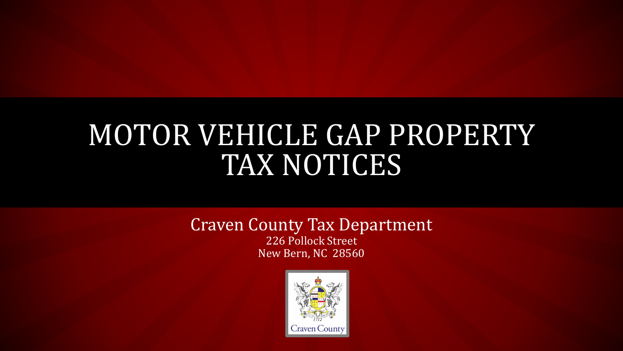#### MOTOR VEHICLE GAP PROPERTY TAX NOTICES

#### Craven County Tax Department 226 Pollock Street New Bern, NC 28560

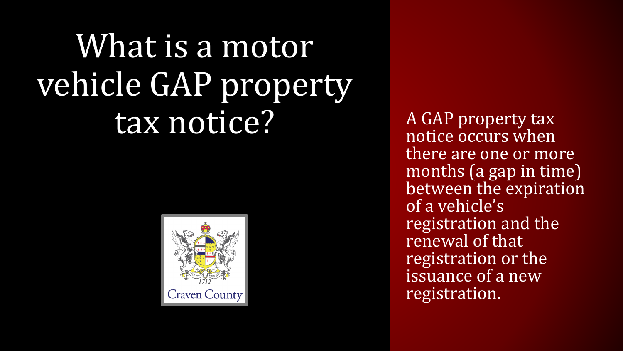# What is a motor vehicle GAP property tax notice? A GAP property tax



notice occurs when there are one or more months (a gap in time) between the expiration of a vehicle's registration and the renewal of that registration or the issuance of a new registration.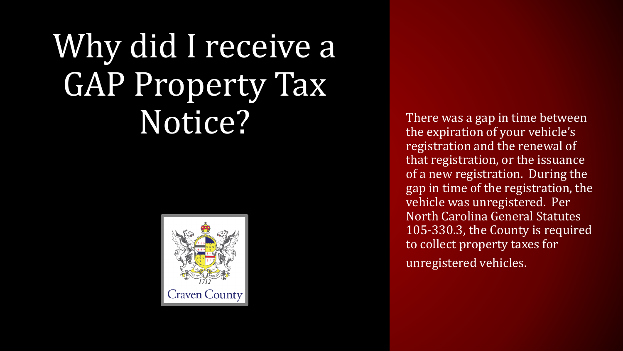# Why did I receive a GAP Property Tax  $\mathbf{Notice}$  There was a gap in time between<br>the expiration of your vehicle's



the expiration of your vehicle's registration and the renewal of that registration, or the issuance of a new registration. During the gap in time of the registration, the vehicle was unregistered. Per North Carolina General Statutes 105-330.3, the County is required to collect property taxes for unregistered vehicles.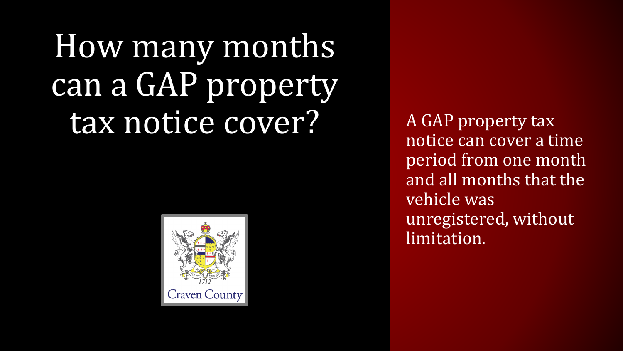# How many months can a GAP property tax notice cover? A GAP property tax



notice can cover a time period from one month and all months that the vehicle was unregistered, without limitation.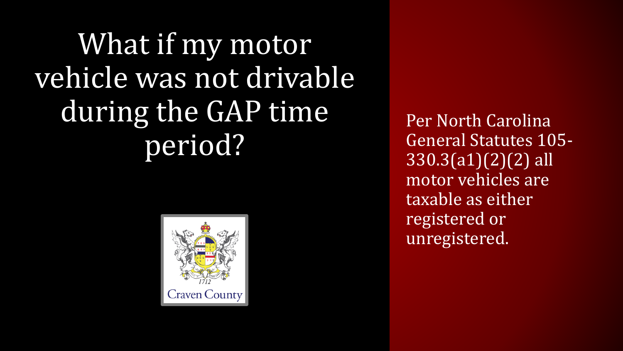## What if my motor vehicle was not drivable during the GAP time period?



Per North Carolina General Statutes 105- 330.3(a1)(2)(2) all motor vehicles are taxable as either registered or unregistered.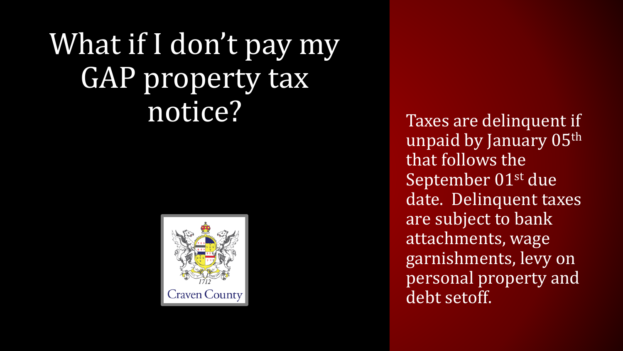#### What if I don't pay my GAP property tax notice? Taxes are delinquent if



unpaid by January 05th that follows the September 01st due date. Delinquent taxes are subject to bank attachments, wage garnishments, levy on personal property and debt setoff.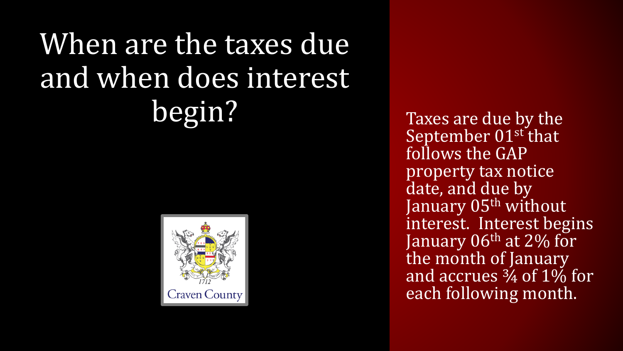## When are the taxes due and when does interest begin? Taxes are due by the



September 01st that follows the GAP property tax notice date, and due by January 05<sup>th</sup> without interest. Interest begins January  $06<sup>th</sup>$  at 2% for the month of January and accrues ¾ of 1% for each following month.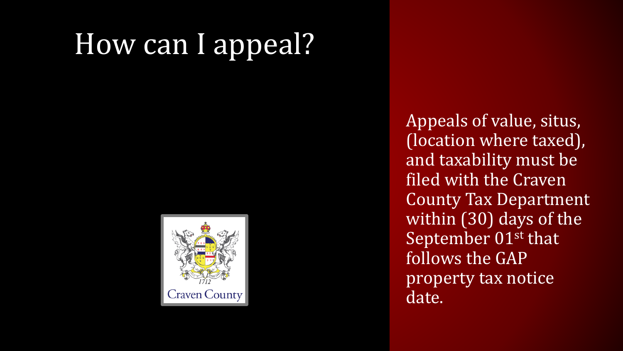#### How can I appeal?



Appeals of value, situs, (location where taxed), and taxability must be filed with the Craven County Tax Department within (30) days of the September 01<sup>st</sup> that follows the GAP property tax notice date.